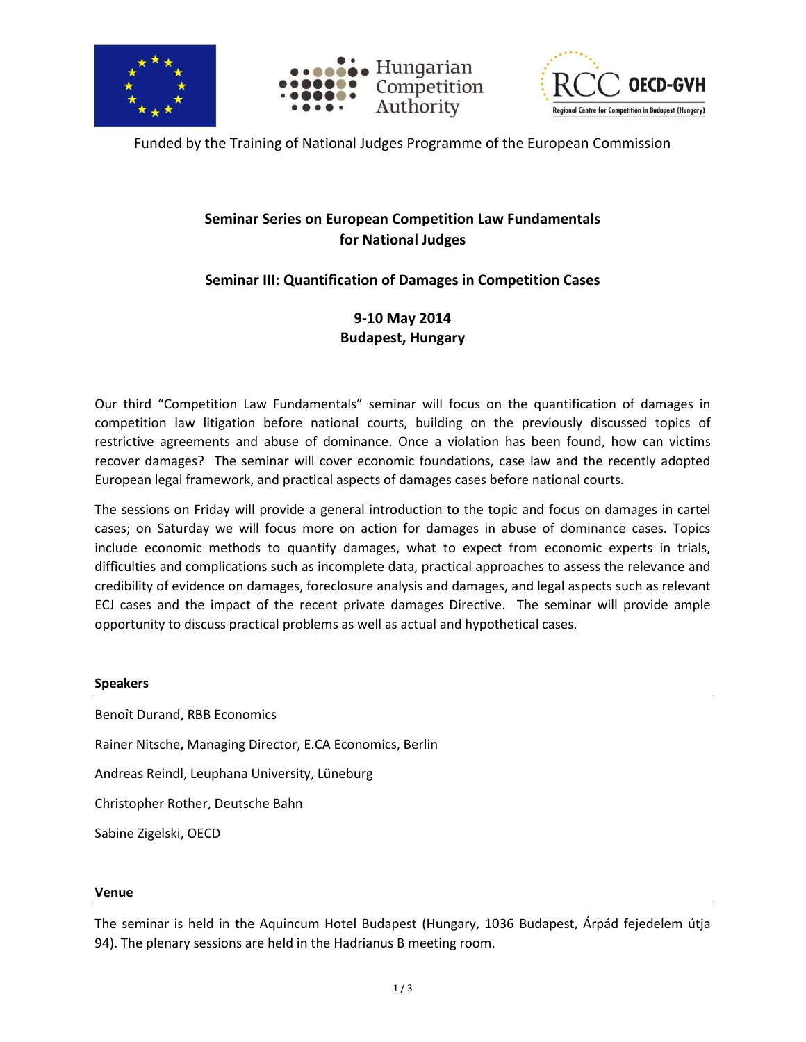





Funded by the Training of National Judges Programme of the European Commission

## **Seminar Series on European Competition Law Fundamentals for National Judges**

### **Seminar III: Quantification of Damages in Competition Cases**

### **9-10 May 2014 Budapest, Hungary**

Our third "Competition Law Fundamentals" seminar will focus on the quantification of damages in competition law litigation before national courts, building on the previously discussed topics of restrictive agreements and abuse of dominance. Once a violation has been found, how can victims recover damages? The seminar will cover economic foundations, case law and the recently adopted European legal framework, and practical aspects of damages cases before national courts.

The sessions on Friday will provide a general introduction to the topic and focus on damages in cartel cases; on Saturday we will focus more on action for damages in abuse of dominance cases. Topics include economic methods to quantify damages, what to expect from economic experts in trials, difficulties and complications such as incomplete data, practical approaches to assess the relevance and credibility of evidence on damages, foreclosure analysis and damages, and legal aspects such as relevant ECJ cases and the impact of the recent private damages Directive. The seminar will provide ample opportunity to discuss practical problems as well as actual and hypothetical cases.

#### **Speakers**

Benoît Durand, RBB Economics Rainer Nitsche, Managing Director, E.CA Economics, Berlin Andreas Reindl, Leuphana University, Lüneburg Christopher Rother, Deutsche Bahn Sabine Zigelski, OECD

#### **Venue**

The seminar is held in the Aquincum Hotel Budapest (Hungary, 1036 Budapest, Árpád fejedelem útja 94). The plenary sessions are held in the Hadrianus B meeting room.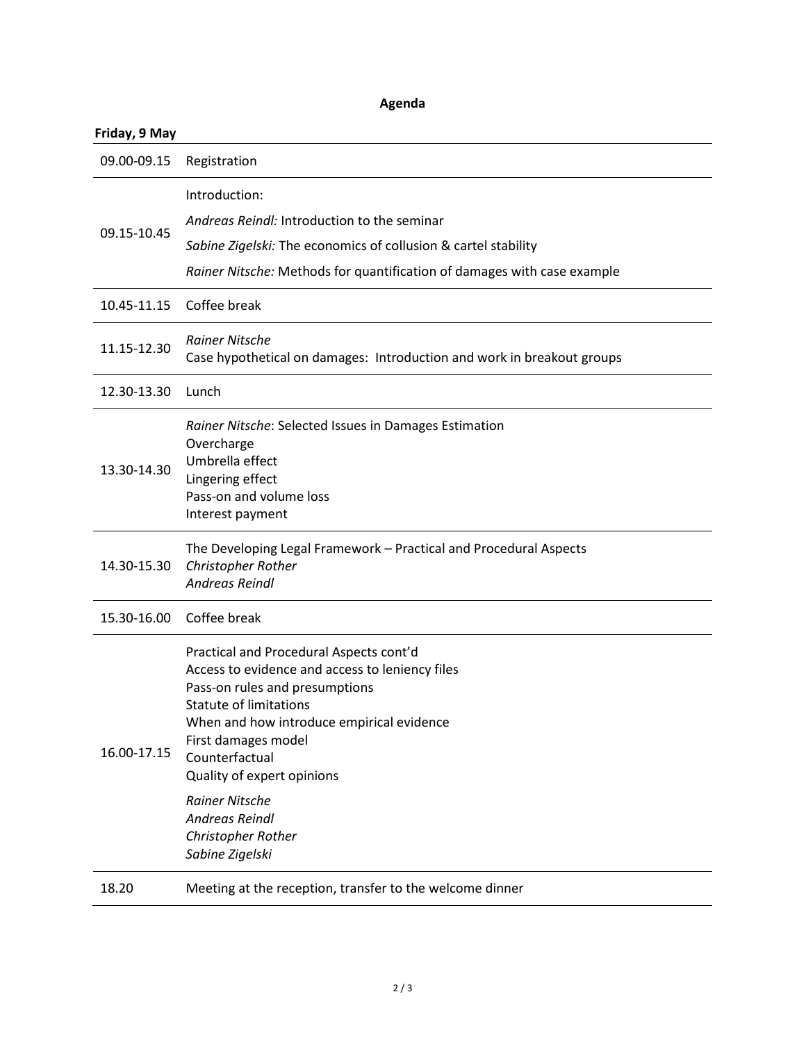### **Agenda**

# **Friday, 9 May**

| 09.00-09.15 | Registration                                                                                                                                                                                                                                                                                                                                                                 |
|-------------|------------------------------------------------------------------------------------------------------------------------------------------------------------------------------------------------------------------------------------------------------------------------------------------------------------------------------------------------------------------------------|
| 09.15-10.45 | Introduction:<br>Andreas Reindl: Introduction to the seminar<br>Sabine Zigelski: The economics of collusion & cartel stability<br>Rainer Nitsche: Methods for quantification of damages with case example                                                                                                                                                                    |
| 10.45-11.15 | Coffee break                                                                                                                                                                                                                                                                                                                                                                 |
| 11.15-12.30 | <b>Rainer Nitsche</b><br>Case hypothetical on damages: Introduction and work in breakout groups                                                                                                                                                                                                                                                                              |
| 12.30-13.30 | Lunch                                                                                                                                                                                                                                                                                                                                                                        |
| 13.30-14.30 | Rainer Nitsche: Selected Issues in Damages Estimation<br>Overcharge<br>Umbrella effect<br>Lingering effect<br>Pass-on and volume loss<br>Interest payment                                                                                                                                                                                                                    |
| 14.30-15.30 | The Developing Legal Framework - Practical and Procedural Aspects<br>Christopher Rother<br><b>Andreas Reindl</b>                                                                                                                                                                                                                                                             |
| 15.30-16.00 | Coffee break                                                                                                                                                                                                                                                                                                                                                                 |
| 16.00-17.15 | Practical and Procedural Aspects cont'd<br>Access to evidence and access to leniency files<br>Pass-on rules and presumptions<br><b>Statute of limitations</b><br>When and how introduce empirical evidence<br>First damages model<br>Counterfactual<br>Quality of expert opinions<br><b>Rainer Nitsche</b><br><b>Andreas Reindl</b><br>Christopher Rother<br>Sabine Zigelski |
| 18.20       | Meeting at the reception, transfer to the welcome dinner                                                                                                                                                                                                                                                                                                                     |